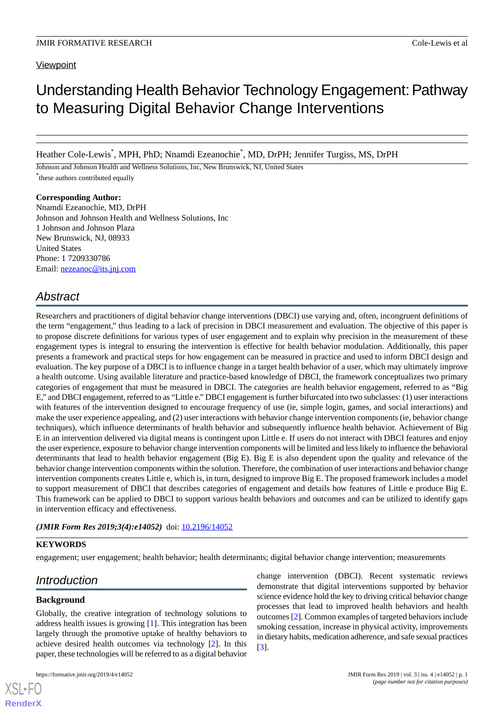# Understanding Health Behavior Technology Engagement:Pathway to Measuring Digital Behavior Change Interventions

Heather Cole-Lewis\* , MPH, PhD; Nnamdi Ezeanochie\* , MD, DrPH; Jennifer Turgiss, MS, DrPH

Johnson and Johnson Health and Wellness Solutions, Inc, New Brunswick, NJ, United States \* these authors contributed equally

#### **Corresponding Author:**

Nnamdi Ezeanochie, MD, DrPH Johnson and Johnson Health and Wellness Solutions, Inc 1 Johnson and Johnson Plaza New Brunswick, NJ, 08933 United States Phone: 1 7209330786 Email: [nezeanoc@its.jnj.com](mailto:nezeanoc@its.jnj.com)

## *Abstract*

Researchers and practitioners of digital behavior change interventions (DBCI) use varying and, often, incongruent definitions of the term "engagement," thus leading to a lack of precision in DBCI measurement and evaluation. The objective of this paper is to propose discrete definitions for various types of user engagement and to explain why precision in the measurement of these engagement types is integral to ensuring the intervention is effective for health behavior modulation. Additionally, this paper presents a framework and practical steps for how engagement can be measured in practice and used to inform DBCI design and evaluation. The key purpose of a DBCI is to influence change in a target health behavior of a user, which may ultimately improve a health outcome. Using available literature and practice-based knowledge of DBCI, the framework conceptualizes two primary categories of engagement that must be measured in DBCI. The categories are health behavior engagement, referred to as "Big E," and DBCI engagement, referred to as "Little e." DBCI engagement is further bifurcated into two subclasses: (1) user interactions with features of the intervention designed to encourage frequency of use (ie, simple login, games, and social interactions) and make the user experience appealing, and (2) user interactions with behavior change intervention components (ie, behavior change techniques), which influence determinants of health behavior and subsequently influence health behavior. Achievement of Big E in an intervention delivered via digital means is contingent upon Little e. If users do not interact with DBCI features and enjoy the user experience, exposure to behavior change intervention components will be limited and less likely to influence the behavioral determinants that lead to health behavior engagement (Big E). Big E is also dependent upon the quality and relevance of the behavior change intervention components within the solution. Therefore, the combination of user interactions and behavior change intervention components creates Little e, which is, in turn, designed to improve Big E. The proposed framework includes a model to support measurement of DBCI that describes categories of engagement and details how features of Little e produce Big E. This framework can be applied to DBCI to support various health behaviors and outcomes and can be utilized to identify gaps in intervention efficacy and effectiveness.

*(JMIR Form Res 2019;3(4):e14052)* doi: [10.2196/14052](http://dx.doi.org/10.2196/14052)

#### **KEYWORDS**

engagement; user engagement; health behavior; health determinants; digital behavior change intervention; measurements

## *Introduction*

### **Background**

[XSL](http://www.w3.org/Style/XSL)•FO **[RenderX](http://www.renderx.com/)**

Globally, the creative integration of technology solutions to address health issues is growing [\[1](#page-7-0)]. This integration has been largely through the promotive uptake of healthy behaviors to achieve desired health outcomes via technology [[2\]](#page-8-0). In this paper, these technologies will be referred to as a digital behavior

change intervention (DBCI). Recent systematic reviews demonstrate that digital interventions supported by behavior science evidence hold the key to driving critical behavior change processes that lead to improved health behaviors and health outcomes [\[2](#page-8-0)]. Common examples of targeted behaviors include smoking cessation, increase in physical activity, improvements in dietary habits, medication adherence, and safe sexual practices [[3\]](#page-8-1).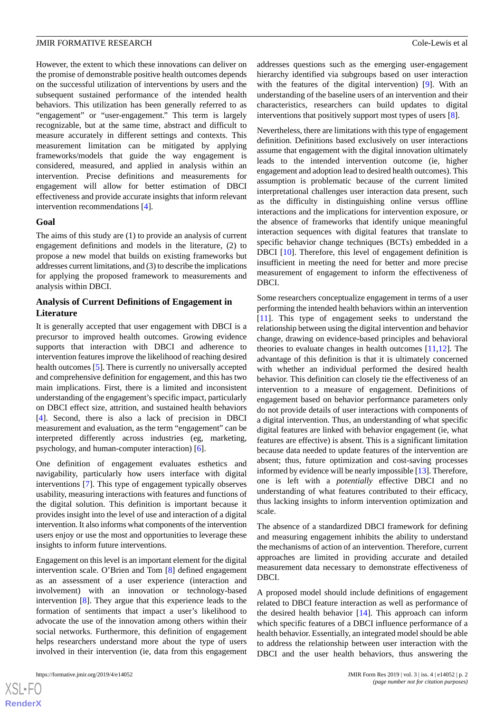However, the extent to which these innovations can deliver on the promise of demonstrable positive health outcomes depends on the successful utilization of interventions by users and the subsequent sustained performance of the intended health behaviors. This utilization has been generally referred to as "engagement" or "user-engagement." This term is largely recognizable, but at the same time, abstract and difficult to measure accurately in different settings and contexts. This measurement limitation can be mitigated by applying frameworks/models that guide the way engagement is considered, measured, and applied in analysis within an intervention. Precise definitions and measurements for engagement will allow for better estimation of DBCI effectiveness and provide accurate insights that inform relevant intervention recommendations [\[4](#page-8-2)].

#### **Goal**

The aims of this study are (1) to provide an analysis of current engagement definitions and models in the literature, (2) to propose a new model that builds on existing frameworks but addresses current limitations, and (3) to describe the implications for applying the proposed framework to measurements and analysis within DBCI.

#### **Analysis of Current Definitions of Engagement in Literature**

It is generally accepted that user engagement with DBCI is a precursor to improved health outcomes. Growing evidence supports that interaction with DBCI and adherence to intervention features improve the likelihood of reaching desired health outcomes [[5\]](#page-8-3). There is currently no universally accepted and comprehensive definition for engagement, and this has two main implications. First, there is a limited and inconsistent understanding of the engagement's specific impact, particularly on DBCI effect size, attrition, and sustained health behaviors [[4\]](#page-8-2). Second, there is also a lack of precision in DBCI measurement and evaluation, as the term "engagement" can be interpreted differently across industries (eg, marketing, psychology, and human-computer interaction) [[6\]](#page-8-4).

One definition of engagement evaluates esthetics and navigability, particularly how users interface with digital interventions [[7\]](#page-8-5). This type of engagement typically observes usability, measuring interactions with features and functions of the digital solution. This definition is important because it provides insight into the level of use and interaction of a digital intervention. It also informs what components of the intervention users enjoy or use the most and opportunities to leverage these insights to inform future interventions.

Engagement on this level is an important element for the digital intervention scale. O'Brien and Tom [[8\]](#page-8-6) defined engagement as an assessment of a user experience (interaction and involvement) with an innovation or technology-based intervention [[8](#page-8-6)]. They argue that this experience leads to the formation of sentiments that impact a user's likelihood to advocate the use of the innovation among others within their social networks. Furthermore, this definition of engagement helps researchers understand more about the type of users involved in their intervention (ie, data from this engagement

addresses questions such as the emerging user-engagement hierarchy identified via subgroups based on user interaction with the features of the digital intervention) [\[9\]](#page-8-7). With an understanding of the baseline users of an intervention and their characteristics, researchers can build updates to digital interventions that positively support most types of users [\[8\]](#page-8-6).

Nevertheless, there are limitations with this type of engagement definition. Definitions based exclusively on user interactions assume that engagement with the digital innovation ultimately leads to the intended intervention outcome (ie, higher engagement and adoption lead to desired health outcomes). This assumption is problematic because of the current limited interpretational challenges user interaction data present, such as the difficulty in distinguishing online versus offline interactions and the implications for intervention exposure, or the absence of frameworks that identify unique meaningful interaction sequences with digital features that translate to specific behavior change techniques (BCTs) embedded in a DBCI [\[10](#page-8-8)]. Therefore, this level of engagement definition is insufficient in meeting the need for better and more precise measurement of engagement to inform the effectiveness of DBCI.

Some researchers conceptualize engagement in terms of a user performing the intended health behaviors within an intervention [[11\]](#page-8-9). This type of engagement seeks to understand the relationship between using the digital intervention and behavior change, drawing on evidence-based principles and behavioral theories to evaluate changes in health outcomes [[11,](#page-8-9)[12](#page-8-10)]. The advantage of this definition is that it is ultimately concerned with whether an individual performed the desired health behavior. This definition can closely tie the effectiveness of an intervention to a measure of engagement. Definitions of engagement based on behavior performance parameters only do not provide details of user interactions with components of a digital intervention. Thus, an understanding of what specific digital features are linked with behavior engagement (ie, what features are effective) is absent. This is a significant limitation because data needed to update features of the intervention are absent; thus, future optimization and cost-saving processes informed by evidence will be nearly impossible [[13\]](#page-8-11). Therefore, one is left with a *potentially* effective DBCI and no understanding of what features contributed to their efficacy, thus lacking insights to inform intervention optimization and scale.

The absence of a standardized DBCI framework for defining and measuring engagement inhibits the ability to understand the mechanisms of action of an intervention. Therefore, current approaches are limited in providing accurate and detailed measurement data necessary to demonstrate effectiveness of DBCI.

A proposed model should include definitions of engagement related to DBCI feature interaction as well as performance of the desired health behavior [\[14](#page-8-12)]. This approach can inform which specific features of a DBCI influence performance of a health behavior. Essentially, an integrated model should be able to address the relationship between user interaction with the DBCI and the user health behaviors, thus answering the

 $XS$  $\cdot$ FC **[RenderX](http://www.renderx.com/)**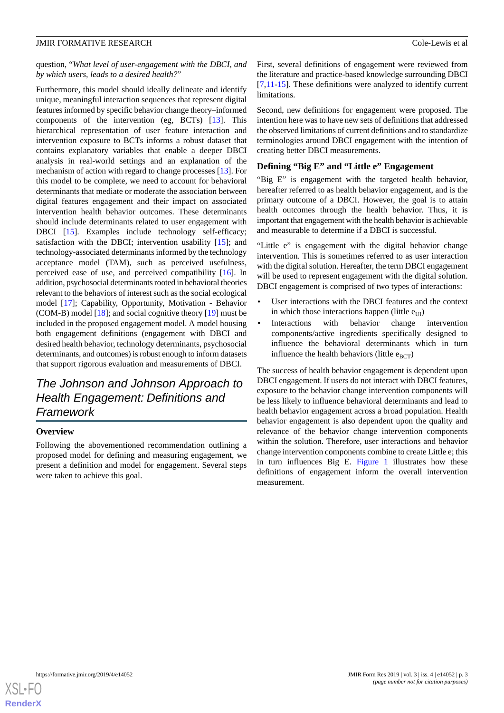#### question, "*What level of user-engagement with the DBCI, and by which users, leads to a desired health?*"

Furthermore, this model should ideally delineate and identify unique, meaningful interaction sequences that represent digital features informed by specific behavior change theory–informed components of the intervention (eg, BCTs) [\[13](#page-8-11)]. This hierarchical representation of user feature interaction and intervention exposure to BCTs informs a robust dataset that contains explanatory variables that enable a deeper DBCI analysis in real-world settings and an explanation of the mechanism of action with regard to change processes [[13\]](#page-8-11). For this model to be complete, we need to account for behavioral determinants that mediate or moderate the association between digital features engagement and their impact on associated intervention health behavior outcomes. These determinants should include determinants related to user engagement with DBCI [[15\]](#page-8-13). Examples include technology self-efficacy; satisfaction with the DBCI; intervention usability [[15\]](#page-8-13); and technology-associated determinants informed by the technology acceptance model (TAM), such as perceived usefulness, perceived ease of use, and perceived compatibility [\[16](#page-8-14)]. In addition, psychosocial determinants rooted in behavioral theories relevant to the behaviors of interest such as the social ecological model [\[17](#page-8-15)]; Capability, Opportunity, Motivation - Behavior (COM-B) model [[18\]](#page-8-16); and social cognitive theory [\[19](#page-8-17)] must be included in the proposed engagement model. A model housing both engagement definitions (engagement with DBCI and desired health behavior, technology determinants, psychosocial determinants, and outcomes) is robust enough to inform datasets that support rigorous evaluation and measurements of DBCI.

## *The Johnson and Johnson Approach to Health Engagement: Definitions and Framework*

### **Overview**

Following the abovementioned recommendation outlining a proposed model for defining and measuring engagement, we present a definition and model for engagement. Several steps were taken to achieve this goal.

First, several definitions of engagement were reviewed from the literature and practice-based knowledge surrounding DBCI [[7](#page-8-5)[,11](#page-8-9)-[15\]](#page-8-13). These definitions were analyzed to identify current limitations.

Second, new definitions for engagement were proposed. The intention here was to have new sets of definitions that addressed the observed limitations of current definitions and to standardize terminologies around DBCI engagement with the intention of creating better DBCI measurements.

### **Defining "Big E" and "Little e" Engagement**

"Big E" is engagement with the targeted health behavior, hereafter referred to as health behavior engagement, and is the primary outcome of a DBCI. However, the goal is to attain health outcomes through the health behavior. Thus, it is important that engagement with the health behavior is achievable and measurable to determine if a DBCI is successful.

"Little e" is engagement with the digital behavior change intervention. This is sometimes referred to as user interaction with the digital solution. Hereafter, the term DBCI engagement will be used to represent engagement with the digital solution. DBCI engagement is comprised of two types of interactions:

- User interactions with the DBCI features and the context in which those interactions happen (little  $e_{\text{III}}$ )
- Interactions with behavior change intervention components/active ingredients specifically designed to influence the behavioral determinants which in turn influence the health behaviors (little  $e_{\text{RCT}}$ )

The success of health behavior engagement is dependent upon DBCI engagement. If users do not interact with DBCI features, exposure to the behavior change intervention components will be less likely to influence behavioral determinants and lead to health behavior engagement across a broad population. Health behavior engagement is also dependent upon the quality and relevance of the behavior change intervention components within the solution. Therefore, user interactions and behavior change intervention components combine to create Little e; this in turn influences Big E. [Figure 1](#page-3-0) illustrates how these definitions of engagement inform the overall intervention measurement.

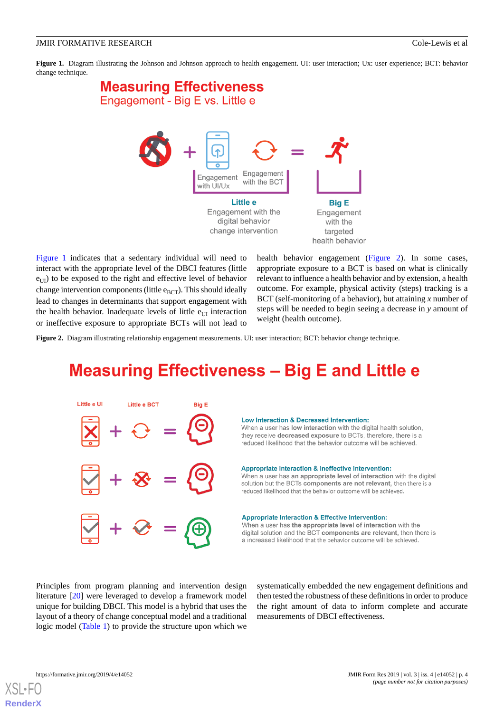<span id="page-3-0"></span>**Figure 1.** Diagram illustrating the Johnson and Johnson approach to health engagement. UI: user interaction; Ux: user experience; BCT: behavior change technique.

# **Measuring Effectiveness** Engagement - Big E vs. Little e



[Figure 1](#page-3-0) indicates that a sedentary individual will need to interact with the appropriate level of the DBCI features (little  $e_{\text{UI}}$ ) to be exposed to the right and effective level of behavior change intervention components (little  $e_{\text{BCT}}$ ). This should ideally lead to changes in determinants that support engagement with the health behavior. Inadequate levels of little  $e_{\text{III}}$  interaction or ineffective exposure to appropriate BCTs will not lead to

health behavior engagement [\(Figure 2](#page-3-1)). In some cases, appropriate exposure to a BCT is based on what is clinically relevant to influence a health behavior and by extension, a health outcome. For example, physical activity (steps) tracking is a BCT (self-monitoring of a behavior), but attaining *x* number of steps will be needed to begin seeing a decrease in *y* amount of weight (health outcome).

<span id="page-3-1"></span>**Figure 2.** Diagram illustrating relationship engagement measurements. UI: user interaction; BCT: behavior change technique.

# **Measuring Effectiveness - Big E and Little e**



#### Low Interaction & Decreased Intervention:

When a user has low interaction with the digital health solution, they receive decreased exposure to BCTs, therefore, there is a reduced likelihood that the behavior outcome will be achieved.

#### Appropriate Interaction & Ineffective Intervention:

When a user has an appropriate level of interaction with the digital solution but the BCTs components are not relevant, then there is a reduced likelihood that the behavior outcome will be achieved.

#### **Appropriate Interaction & Effective Intervention:**

When a user has the appropriate level of interaction with the digital solution and the BCT components are relevant, then there is a increased likelihood that the behavior outcome will be achieved.

Principles from program planning and intervention design literature [\[20](#page-8-18)] were leveraged to develop a framework model unique for building DBCI. This model is a hybrid that uses the layout of a theory of change conceptual model and a traditional logic model ([Table 1](#page-4-0)) to provide the structure upon which we

systematically embedded the new engagement definitions and then tested the robustness of these definitions in order to produce the right amount of data to inform complete and accurate measurements of DBCI effectiveness.

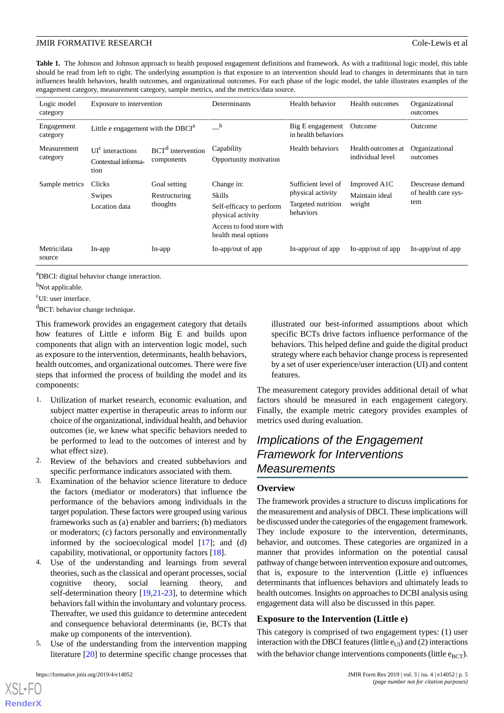<span id="page-4-0"></span>Table 1. The Johnson and Johnson approach to health proposed engagement definitions and framework. As with a traditional logic model, this table should be read from left to right. The underlying assumption is that exposure to an intervention should lead to changes in determinants that in turn influences health behaviors, health outcomes, and organizational outcomes. For each phase of the logic model, the table illustrates examples of the engagement category, measurement category, sample metrics, and the metrics/data source.

| Logic model<br>category | Exposure to intervention                          |                                           | Determinants                                                                                                              | Health behavior                                                             | <b>Health outcomes</b>                   | Organizational<br>outcomes                     |
|-------------------------|---------------------------------------------------|-------------------------------------------|---------------------------------------------------------------------------------------------------------------------------|-----------------------------------------------------------------------------|------------------------------------------|------------------------------------------------|
| Engagement<br>category  | Little e engagement with the $DBCIa$              |                                           | $\overline{\phantom{a}}^{\phantom{a}b}$                                                                                   | Big E engagement<br>in health behaviors                                     | Outcome                                  | Outcome                                        |
| Measurement<br>category | $UIc$ interactions<br>Contextual informa-<br>tion | $BCTd$ intervention<br>components         | Capability<br>Opportunity motivation                                                                                      | Health behaviors                                                            | Health outcomes at<br>individual level   | Organizational<br>outcomes                     |
| Sample metrics          | Clicks<br>Swipes<br>Location data                 | Goal setting<br>Restructuring<br>thoughts | Change in:<br>Skills<br>Self-efficacy to perform<br>physical activity<br>Access to food store with<br>health meal options | Sufficient level of<br>physical activity<br>Targeted nutrition<br>behaviors | Improved A1C<br>Maintain ideal<br>weight | Descrease demand<br>of health care sys-<br>tem |
| Metric/data<br>source   | $In$ -app                                         | $In$ -app                                 | In-app/out of app                                                                                                         | In-app/out of app                                                           | In-app/out of app                        | In-app/out of app                              |

<sup>a</sup>DBCI: digital behavior change interaction.

<sup>b</sup>Not applicable.

<sup>c</sup>UI: user interface.

 ${}^{d}$ BCT: behavior change technique.

This framework provides an engagement category that details how features of Little e inform Big E and builds upon components that align with an intervention logic model, such as exposure to the intervention, determinants, health behaviors, health outcomes, and organizational outcomes. There were five steps that informed the process of building the model and its components:

- 1. Utilization of market research, economic evaluation, and subject matter expertise in therapeutic areas to inform our choice of the organizational, individual health, and behavior outcomes (ie, we knew what specific behaviors needed to be performed to lead to the outcomes of interest and by what effect size).
- 2. Review of the behaviors and created subbehaviors and specific performance indicators associated with them.
- 3. Examination of the behavior science literature to deduce the factors (mediator or moderators) that influence the performance of the behaviors among individuals in the target population. These factors were grouped using various frameworks such as (a) enabler and barriers; (b) mediators or moderators; (c) factors personally and environmentally informed by the socioecological model [[17\]](#page-8-15); and (d) capability, motivational, or opportunity factors [\[18](#page-8-16)].
- 4. Use of the understanding and learnings from several theories, such as the classical and operant processes, social cognitive theory, social learning theory, and self-determination theory [\[19](#page-8-17),[21-](#page-8-19)[23\]](#page-8-20), to determine which behaviors fall within the involuntary and voluntary process. Thereafter, we used this guidance to determine antecedent and consequence behavioral determinants (ie, BCTs that make up components of the intervention).
- Use of the understanding from the intervention mapping literature [[20\]](#page-8-18) to determine specific change processes that

illustrated our best-informed assumptions about which specific BCTs drive factors influence performance of the behaviors. This helped define and guide the digital product strategy where each behavior change process is represented by a set of user experience/user interaction (UI) and content features.

The measurement category provides additional detail of what factors should be measured in each engagement category. Finally, the example metric category provides examples of metrics used during evaluation.

## *Implications of the Engagement Framework for Interventions Measurements*

#### **Overview**

The framework provides a structure to discuss implications for the measurement and analysis of DBCI. These implications will be discussed under the categories of the engagement framework. They include exposure to the intervention, determinants, behavior, and outcomes. These categories are organized in a manner that provides information on the potential causal pathway of change between intervention exposure and outcomes, that is, exposure to the intervention (Little e) influences determinants that influences behaviors and ultimately leads to health outcomes. Insights on approaches to DCBI analysis using engagement data will also be discussed in this paper.

#### **Exposure to the Intervention (Little e)**

This category is comprised of two engagement types: (1) user interaction with the DBCI features (little  $e_{U|U}$ ) and (2) interactions with the behavior change interventions components (little  $e_{\text{BCT}}$ ).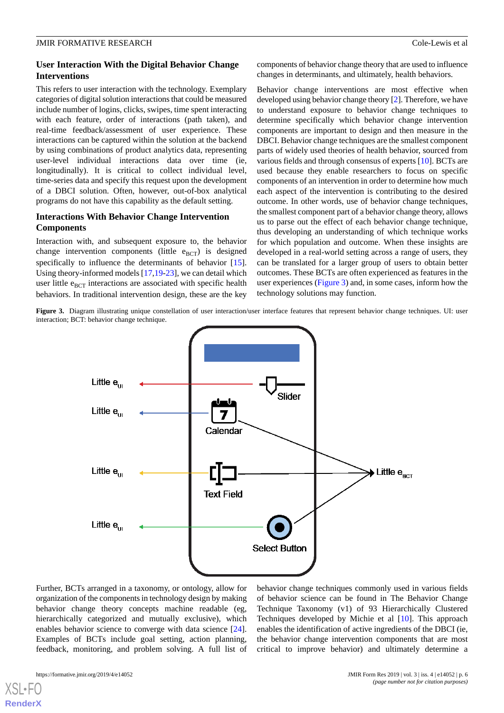#### **User Interaction With the Digital Behavior Change Interventions**

This refers to user interaction with the technology. Exemplary categories of digital solution interactions that could be measured include number of logins, clicks, swipes, time spent interacting with each feature, order of interactions (path taken), and real-time feedback/assessment of user experience. These interactions can be captured within the solution at the backend by using combinations of product analytics data, representing user-level individual interactions data over time (ie, longitudinally). It is critical to collect individual level, time-series data and specify this request upon the development of a DBCI solution. Often, however, out-of-box analytical programs do not have this capability as the default setting.

### **Interactions With Behavior Change Intervention Components**

Interaction with, and subsequent exposure to, the behavior change intervention components (little  $e_{\text{BCT}}$ ) is designed specifically to influence the determinants of behavior [[15\]](#page-8-13). Using theory-informed models [\[17](#page-8-15)[,19](#page-8-17)-[23\]](#page-8-20), we can detail which user little  $e_{\text{BCT}}$  interactions are associated with specific health behaviors. In traditional intervention design, these are the key

components of behavior change theory that are used to influence changes in determinants, and ultimately, health behaviors.

Behavior change interventions are most effective when developed using behavior change theory [\[2](#page-8-0)]. Therefore, we have to understand exposure to behavior change techniques to determine specifically which behavior change intervention components are important to design and then measure in the DBCI. Behavior change techniques are the smallest component parts of widely used theories of health behavior, sourced from various fields and through consensus of experts [[10\]](#page-8-8). BCTs are used because they enable researchers to focus on specific components of an intervention in order to determine how much each aspect of the intervention is contributing to the desired outcome. In other words, use of behavior change techniques, the smallest component part of a behavior change theory, allows us to parse out the effect of each behavior change technique, thus developing an understanding of which technique works for which population and outcome. When these insights are developed in a real-world setting across a range of users, they can be translated for a larger group of users to obtain better outcomes. These BCTs are often experienced as features in the user experiences [\(Figure 3](#page-5-0)) and, in some cases, inform how the technology solutions may function.

<span id="page-5-0"></span>Figure 3. Diagram illustrating unique constellation of user interaction/user interface features that represent behavior change techniques. UI: user interaction; BCT: behavior change technique.



Further, BCTs arranged in a taxonomy, or ontology, allow for organization of the components in technology design by making behavior change theory concepts machine readable (eg, hierarchically categorized and mutually exclusive), which enables behavior science to converge with data science [[24\]](#page-8-21). Examples of BCTs include goal setting, action planning, feedback, monitoring, and problem solving. A full list of behavior change techniques commonly used in various fields of behavior science can be found in The Behavior Change Technique Taxonomy (v1) of 93 Hierarchically Clustered Techniques developed by Michie et al [\[10](#page-8-8)]. This approach enables the identification of active ingredients of the DBCI (ie, the behavior change intervention components that are most critical to improve behavior) and ultimately determine a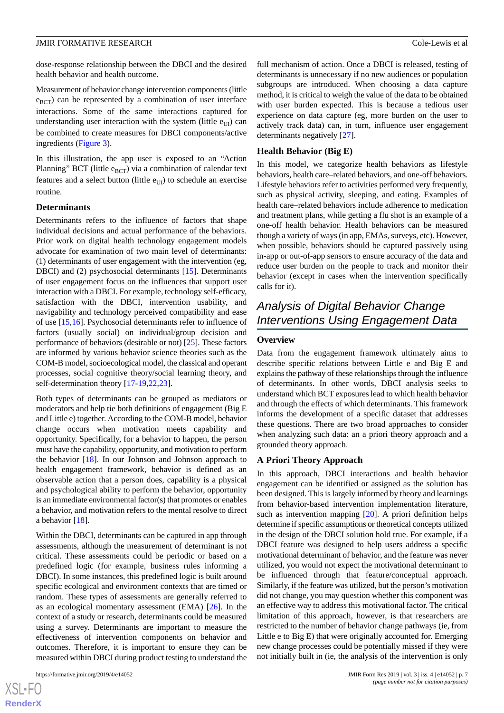dose-response relationship between the DBCI and the desired health behavior and health outcome.

Measurement of behavior change intervention components (little  $e_{BCT}$ ) can be represented by a combination of user interface interactions. Some of the same interactions captured for understanding user interaction with the system (little  $e_{\text{UI}}$ ) can be combined to create measures for DBCI components/active ingredients ([Figure 3](#page-5-0)).

In this illustration, the app user is exposed to an "Action Planning" BCT (little  $e_{BCT}$ ) via a combination of calendar text features and a select button (little  $e_{\text{UI}}$ ) to schedule an exercise routine.

#### **Determinants**

Determinants refers to the influence of factors that shape individual decisions and actual performance of the behaviors. Prior work on digital health technology engagement models advocate for examination of two main level of determinants: (1) determinants of user engagement with the intervention (eg, DBCI) and (2) psychosocial determinants [[15\]](#page-8-13). Determinants of user engagement focus on the influences that support user interaction with a DBCI. For example, technology self-efficacy, satisfaction with the DBCI, intervention usability, and navigability and technology perceived compatibility and ease of use [\[15](#page-8-13),[16\]](#page-8-14). Psychosocial determinants refer to influence of factors (usually social) on individual/group decision and performance of behaviors (desirable or not) [\[25](#page-8-22)]. These factors are informed by various behavior science theories such as the COM-B model, socioecological model, the classical and operant processes, social cognitive theory/social learning theory, and self-determination theory [[17-](#page-8-15)[19](#page-8-17),[22,](#page-8-23)[23](#page-8-20)].

Both types of determinants can be grouped as mediators or moderators and help tie both definitions of engagement (Big E and Little e) together. According to the COM-B model, behavior change occurs when motivation meets capability and opportunity. Specifically, for a behavior to happen, the person must have the capability, opportunity, and motivation to perform the behavior [\[18](#page-8-16)]. In our Johnson and Johnson approach to health engagement framework, behavior is defined as an observable action that a person does, capability is a physical and psychological ability to perform the behavior, opportunity is an immediate environmental factor(s) that promotes or enables a behavior, and motivation refers to the mental resolve to direct a behavior [\[18](#page-8-16)].

Within the DBCI, determinants can be captured in app through assessments, although the measurement of determinant is not critical. These assessments could be periodic or based on a predefined logic (for example, business rules informing a DBCI). In some instances, this predefined logic is built around specific ecological and environment contexts that are timed or random. These types of assessments are generally referred to as an ecological momentary assessment (EMA) [\[26](#page-8-24)]. In the context of a study or research, determinants could be measured using a survey. Determinants are important to measure the effectiveness of intervention components on behavior and outcomes. Therefore, it is important to ensure they can be measured within DBCI during product testing to understand the

full mechanism of action. Once a DBCI is released, testing of determinants is unnecessary if no new audiences or population subgroups are introduced. When choosing a data capture method, it is critical to weigh the value of the data to be obtained with user burden expected. This is because a tedious user experience on data capture (eg, more burden on the user to actively track data) can, in turn, influence user engagement determinants negatively [[27\]](#page-8-25).

#### **Health Behavior (Big E)**

In this model, we categorize health behaviors as lifestyle behaviors, health care–related behaviors, and one-off behaviors. Lifestyle behaviors refer to activities performed very frequently, such as physical activity, sleeping, and eating. Examples of health care–related behaviors include adherence to medication and treatment plans, while getting a flu shot is an example of a one-off health behavior. Health behaviors can be measured though a variety of ways (in app, EMAs, surveys, etc). However, when possible, behaviors should be captured passively using in-app or out-of-app sensors to ensure accuracy of the data and reduce user burden on the people to track and monitor their behavior (except in cases when the intervention specifically calls for it).

## *Analysis of Digital Behavior Change Interventions Using Engagement Data*

#### **Overview**

Data from the engagement framework ultimately aims to describe specific relations between Little e and Big E and explains the pathway of these relationships through the influence of determinants. In other words, DBCI analysis seeks to understand which BCT exposures lead to which health behavior and through the effects of which determinants. This framework informs the development of a specific dataset that addresses these questions. There are two broad approaches to consider when analyzing such data: an a priori theory approach and a grounded theory approach.

#### **A Priori Theory Approach**

In this approach, DBCI interactions and health behavior engagement can be identified or assigned as the solution has been designed. This is largely informed by theory and learnings from behavior-based intervention implementation literature, such as intervention mapping [\[20](#page-8-18)]. A priori definition helps determine if specific assumptions or theoretical concepts utilized in the design of the DBCI solution hold true. For example, if a DBCI feature was designed to help users address a specific motivational determinant of behavior, and the feature was never utilized, you would not expect the motivational determinant to be influenced through that feature/conceptual approach. Similarly, if the feature was utilized, but the person's motivation did not change, you may question whether this component was an effective way to address this motivational factor. The critical limitation of this approach, however, is that researchers are restricted to the number of behavior change pathways (ie, from Little e to Big E) that were originally accounted for. Emerging new change processes could be potentially missed if they were not initially built in (ie, the analysis of the intervention is only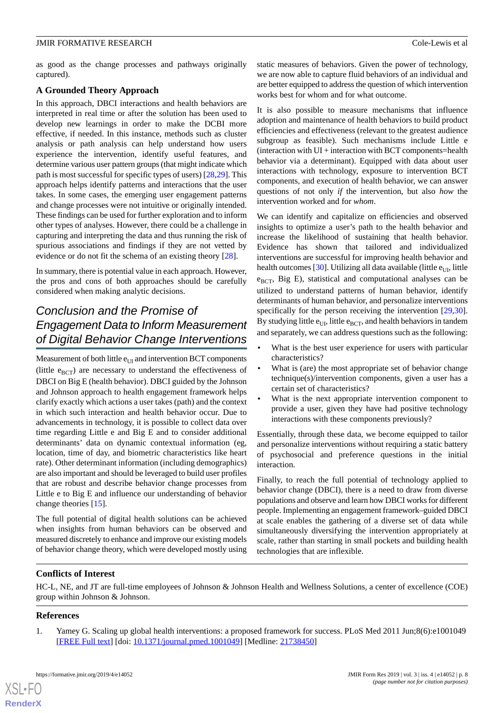as good as the change processes and pathways originally captured).

#### **A Grounded Theory Approach**

In this approach, DBCI interactions and health behaviors are interpreted in real time or after the solution has been used to develop new learnings in order to make the DCBI more effective, if needed. In this instance, methods such as cluster analysis or path analysis can help understand how users experience the intervention, identify useful features, and determine various user pattern groups (that might indicate which path is most successful for specific types of users) [[28,](#page-9-0)[29](#page-9-1)]. This approach helps identify patterns and interactions that the user takes. In some cases, the emerging user engagement patterns and change processes were not intuitive or originally intended. These findings can be used for further exploration and to inform other types of analyses. However, there could be a challenge in capturing and interpreting the data and thus running the risk of spurious associations and findings if they are not vetted by evidence or do not fit the schema of an existing theory [[28\]](#page-9-0).

In summary, there is potential value in each approach. However, the pros and cons of both approaches should be carefully considered when making analytic decisions.

## *Conclusion and the Promise of Engagement Data to Inform Measurement of Digital Behavior Change Interventions*

Measurement of both little  $e_{UI}$  and intervention BCT components (little  $e_{BCT}$ ) are necessary to understand the effectiveness of DBCI on Big E (health behavior). DBCI guided by the Johnson and Johnson approach to health engagement framework helps clarify exactly which actions a user takes (path) and the context in which such interaction and health behavior occur. Due to advancements in technology, it is possible to collect data over time regarding Little e and Big E and to consider additional determinants' data on dynamic contextual information (eg, location, time of day, and biometric characteristics like heart rate). Other determinant information (including demographics) are also important and should be leveraged to build user profiles that are robust and describe behavior change processes from Little e to Big E and influence our understanding of behavior change theories [[15\]](#page-8-13).

The full potential of digital health solutions can be achieved when insights from human behaviors can be observed and measured discretely to enhance and improve our existing models of behavior change theory, which were developed mostly using

static measures of behaviors. Given the power of technology, we are now able to capture fluid behaviors of an individual and are better equipped to address the question of which intervention works best for whom and for what outcome.

It is also possible to measure mechanisms that influence adoption and maintenance of health behaviors to build product efficiencies and effectiveness (relevant to the greatest audience subgroup as feasible). Such mechanisms include Little e (interaction with UI + interaction with BCT components=health behavior via a determinant). Equipped with data about user interactions with technology, exposure to intervention BCT components, and execution of health behavior, we can answer questions of not only *if* the intervention, but also *how* the intervention worked and for *whom*.

We can identify and capitalize on efficiencies and observed insights to optimize a user's path to the health behavior and increase the likelihood of sustaining that health behavior. Evidence has shown that tailored and individualized interventions are successful for improving health behavior and health outcomes [\[30\]](#page-9-2). Utilizing all data available (little  $e_{U}$ , little  $e_{BCT}$ , Big E), statistical and computational analyses can be utilized to understand patterns of human behavior, identify determinants of human behavior, and personalize interventions specifically for the person receiving the intervention [\[29](#page-9-1),[30\]](#page-9-2). By studying little  $e_{UI}$ , little  $e_{BCT}$ , and health behaviors in tandem and separately, we can address questions such as the following:

- What is the best user experience for users with particular characteristics?
- What is (are) the most appropriate set of behavior change technique(s)/intervention components, given a user has a certain set of characteristics?
- What is the next appropriate intervention component to provide a user, given they have had positive technology interactions with these components previously?

Essentially, through these data, we become equipped to tailor and personalize interventions without requiring a static battery of psychosocial and preference questions in the initial interaction.

Finally, to reach the full potential of technology applied to behavior change (DBCI), there is a need to draw from diverse populations and observe and learn how DBCI works for different people. Implementing an engagement framework–guided DBCI at scale enables the gathering of a diverse set of data while simultaneously diversifying the intervention appropriately at scale, rather than starting in small pockets and building health technologies that are inflexible.

#### <span id="page-7-0"></span>**Conflicts of Interest**

HC-L, NE, and JT are full-time employees of Johnson & Johnson Health and Wellness Solutions, a center of excellence (COE) group within Johnson & Johnson.

#### **References**

[XSL](http://www.w3.org/Style/XSL)•FO **[RenderX](http://www.renderx.com/)**

1. Yamey G. Scaling up global health interventions: a proposed framework for success. PLoS Med 2011 Jun;8(6):e1001049 [[FREE Full text](http://dx.plos.org/10.1371/journal.pmed.1001049)] [doi: [10.1371/journal.pmed.1001049](http://dx.doi.org/10.1371/journal.pmed.1001049)] [Medline: [21738450](http://www.ncbi.nlm.nih.gov/entrez/query.fcgi?cmd=Retrieve&db=PubMed&list_uids=21738450&dopt=Abstract)]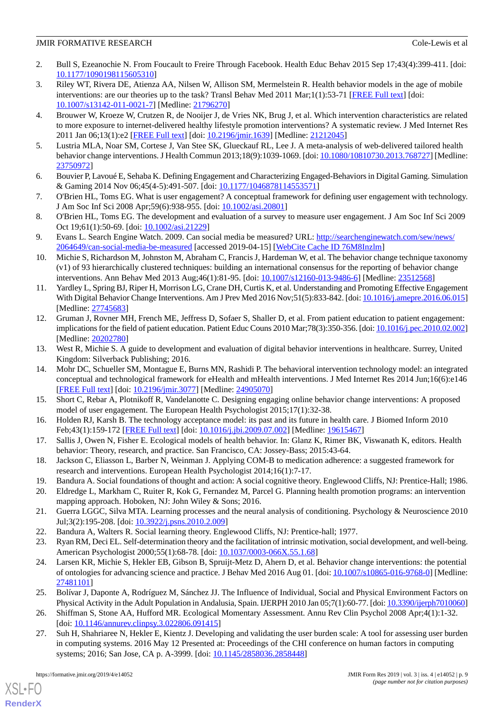- <span id="page-8-0"></span>2. Bull S, Ezeanochie N. From Foucault to Freire Through Facebook. Health Educ Behav 2015 Sep 17;43(4):399-411. [doi: [10.1177/1090198115605310\]](http://dx.doi.org/10.1177/1090198115605310)
- <span id="page-8-1"></span>3. Riley WT, Rivera DE, Atienza AA, Nilsen W, Allison SM, Mermelstein R. Health behavior models in the age of mobile interventions: are our theories up to the task? Transl Behav Med 2011 Mar;1(1):53-71 [\[FREE Full text](http://europepmc.org/abstract/MED/21796270)] [doi: [10.1007/s13142-011-0021-7\]](http://dx.doi.org/10.1007/s13142-011-0021-7) [Medline: [21796270](http://www.ncbi.nlm.nih.gov/entrez/query.fcgi?cmd=Retrieve&db=PubMed&list_uids=21796270&dopt=Abstract)]
- <span id="page-8-2"></span>4. Brouwer W, Kroeze W, Crutzen R, de Nooijer J, de Vries NK, Brug J, et al. Which intervention characteristics are related to more exposure to internet-delivered healthy lifestyle promotion interventions? A systematic review. J Med Internet Res 2011 Jan 06;13(1):e2 [\[FREE Full text\]](https://www.jmir.org/2011/1/e2/) [doi: [10.2196/jmir.1639\]](http://dx.doi.org/10.2196/jmir.1639) [Medline: [21212045\]](http://www.ncbi.nlm.nih.gov/entrez/query.fcgi?cmd=Retrieve&db=PubMed&list_uids=21212045&dopt=Abstract)
- <span id="page-8-4"></span><span id="page-8-3"></span>5. Lustria MLA, Noar SM, Cortese J, Van Stee SK, Glueckauf RL, Lee J. A meta-analysis of web-delivered tailored health behavior change interventions. J Health Commun 2013;18(9):1039-1069. [doi: [10.1080/10810730.2013.768727](http://dx.doi.org/10.1080/10810730.2013.768727)] [Medline: [23750972](http://www.ncbi.nlm.nih.gov/entrez/query.fcgi?cmd=Retrieve&db=PubMed&list_uids=23750972&dopt=Abstract)]
- <span id="page-8-5"></span>6. Bouvier P, Lavoué E, Sehaba K. Defining Engagement and Characterizing Engaged-Behaviors in Digital Gaming. Simulation & Gaming 2014 Nov 06;45(4-5):491-507. [doi: [10.1177/1046878114553571](http://dx.doi.org/10.1177/1046878114553571)]
- <span id="page-8-6"></span>7. O'Brien HL, Toms EG. What is user engagement? A conceptual framework for defining user engagement with technology. J Am Soc Inf Sci 2008 Apr;59(6):938-955. [doi: [10.1002/asi.20801](http://dx.doi.org/10.1002/asi.20801)]
- <span id="page-8-7"></span>8. O'Brien HL, Toms EG. The development and evaluation of a survey to measure user engagement. J Am Soc Inf Sci 2009 Oct 19;61(1):50-69. [doi: [10.1002/asi.21229](http://dx.doi.org/10.1002/asi.21229)]
- <span id="page-8-8"></span>9. Evans L. Search Engine Watch. 2009. Can social media be measured? URL: [http://searchenginewatch.com/sew/news/](http://searchenginewatch.com/sew/news/2064649/can-social-media-be-measured) [2064649/can-social-media-be-measured](http://searchenginewatch.com/sew/news/2064649/can-social-media-be-measured) [accessed 2019-04-15] [\[WebCite Cache ID 76M8Inzlm](http://www.webcitation.org/

                                76M8Inzlm)]
- <span id="page-8-9"></span>10. Michie S, Richardson M, Johnston M, Abraham C, Francis J, Hardeman W, et al. The behavior change technique taxonomy (v1) of 93 hierarchically clustered techniques: building an international consensus for the reporting of behavior change interventions. Ann Behav Med 2013 Aug;46(1):81-95. [doi: [10.1007/s12160-013-9486-6\]](http://dx.doi.org/10.1007/s12160-013-9486-6) [Medline: [23512568\]](http://www.ncbi.nlm.nih.gov/entrez/query.fcgi?cmd=Retrieve&db=PubMed&list_uids=23512568&dopt=Abstract)
- <span id="page-8-10"></span>11. Yardley L, Spring BJ, Riper H, Morrison LG, Crane DH, Curtis K, et al. Understanding and Promoting Effective Engagement With Digital Behavior Change Interventions. Am J Prev Med 2016 Nov;51(5):833-842. [doi: [10.1016/j.amepre.2016.06.015\]](http://dx.doi.org/10.1016/j.amepre.2016.06.015) [Medline: [27745683](http://www.ncbi.nlm.nih.gov/entrez/query.fcgi?cmd=Retrieve&db=PubMed&list_uids=27745683&dopt=Abstract)]
- <span id="page-8-12"></span><span id="page-8-11"></span>12. Gruman J, Rovner MH, French ME, Jeffress D, Sofaer S, Shaller D, et al. From patient education to patient engagement: implications for the field of patient education. Patient Educ Couns 2010 Mar;78(3):350-356. [doi: [10.1016/j.pec.2010.02.002](http://dx.doi.org/10.1016/j.pec.2010.02.002)] [Medline: [20202780](http://www.ncbi.nlm.nih.gov/entrez/query.fcgi?cmd=Retrieve&db=PubMed&list_uids=20202780&dopt=Abstract)]
- 13. West R, Michie S. A guide to development and evaluation of digital behavior interventions in healthcare. Surrey, United Kingdom: Silverback Publishing; 2016.
- <span id="page-8-14"></span><span id="page-8-13"></span>14. Mohr DC, Schueller SM, Montague E, Burns MN, Rashidi P. The behavioral intervention technology model: an integrated conceptual and technological framework for eHealth and mHealth interventions. J Med Internet Res 2014 Jun;16(6):e146 [[FREE Full text](http://www.jmir.org/2014/6/e146/)] [doi: [10.2196/jmir.3077](http://dx.doi.org/10.2196/jmir.3077)] [Medline: [24905070](http://www.ncbi.nlm.nih.gov/entrez/query.fcgi?cmd=Retrieve&db=PubMed&list_uids=24905070&dopt=Abstract)]
- <span id="page-8-15"></span>15. Short C, Rebar A, Plotnikoff R, Vandelanotte C. Designing engaging online behavior change interventions: A proposed model of user engagement. The European Health Psychologist 2015;17(1):32-38.
- <span id="page-8-16"></span>16. Holden RJ, Karsh B. The technology acceptance model: its past and its future in health care. J Biomed Inform 2010 Feb;43(1):159-172 [[FREE Full text](http://linkinghub.elsevier.com/retrieve/pii/S1532-0464(09)00096-3)] [doi: [10.1016/j.jbi.2009.07.002](http://dx.doi.org/10.1016/j.jbi.2009.07.002)] [Medline: [19615467\]](http://www.ncbi.nlm.nih.gov/entrez/query.fcgi?cmd=Retrieve&db=PubMed&list_uids=19615467&dopt=Abstract)
- <span id="page-8-18"></span><span id="page-8-17"></span>17. Sallis J, Owen N, Fisher E. Ecological models of health behavior. In: Glanz K, Rimer BK, Viswanath K, editors. Health behavior: Theory, research, and practice. San Francisco, CA: Jossey-Bass; 2015:43-64.
- <span id="page-8-19"></span>18. Jackson C, Eliasson L, Barber N, Weinman J. Applying COM-B to medication adherence: a suggested framework for research and interventions. European Health Psychologist 2014;16(1):7-17.
- <span id="page-8-23"></span>19. Bandura A. Social foundations of thought and action: A social cognitive theory. Englewood Cliffs, NJ: Prentice-Hall; 1986.
- <span id="page-8-20"></span>20. Eldredge L, Markham C, Ruiter R, Kok G, Fernandez M, Parcel G. Planning health promotion programs: an intervention mapping approach. Hoboken, NJ: John Wiley & Sons; 2016.
- <span id="page-8-21"></span>21. Guerra LGGC, Silva MTA. Learning processes and the neural analysis of conditioning. Psychology & Neuroscience 2010 Jul;3(2):195-208. [doi: [10.3922/j.psns.2010.2.009\]](http://dx.doi.org/10.3922/j.psns.2010.2.009)
- <span id="page-8-22"></span>22. Bandura A, Walters R. Social learning theory. Englewood Cliffs, NJ: Prentice-hall; 1977.
- 23. Ryan RM, Deci EL. Self-determination theory and the facilitation of intrinsic motivation, social development, and well-being. American Psychologist 2000;55(1):68-78. [doi: [10.1037/0003-066X.55.1.68](http://dx.doi.org/10.1037/0003-066X.55.1.68)]
- <span id="page-8-25"></span><span id="page-8-24"></span>24. Larsen KR, Michie S, Hekler EB, Gibson B, Spruijt-Metz D, Ahern D, et al. Behavior change interventions: the potential of ontologies for advancing science and practice. J Behav Med 2016 Aug 01. [doi: [10.1007/s10865-016-9768-0\]](http://dx.doi.org/10.1007/s10865-016-9768-0) [Medline: [27481101](http://www.ncbi.nlm.nih.gov/entrez/query.fcgi?cmd=Retrieve&db=PubMed&list_uids=27481101&dopt=Abstract)]
- 25. Bolívar J, Daponte A, Rodríguez M, Sánchez JJ. The Influence of Individual, Social and Physical Environment Factors on Physical Activity in the Adult Population in Andalusia, Spain. IJERPH 2010 Jan 05;7(1):60-77. [doi: [10.3390/ijerph7010060\]](http://dx.doi.org/10.3390/ijerph7010060)
- 26. Shiffman S, Stone AA, Hufford MR. Ecological Momentary Assessment. Annu Rev Clin Psychol 2008 Apr;4(1):1-32. [doi: [10.1146/annurev.clinpsy.3.022806.091415\]](http://dx.doi.org/10.1146/annurev.clinpsy.3.022806.091415)
- 27. Suh H, Shahriaree N, Hekler E, Kientz J. Developing and validating the user burden scale: A tool for assessing user burden in computing systems. 2016 May 12 Presented at: Proceedings of the CHI conference on human factors in computing systems; 2016; San Jose, CA p. A-3999. [doi: [10.1145/2858036.2858448\]](http://dx.doi.org/10.1145/2858036.2858448)